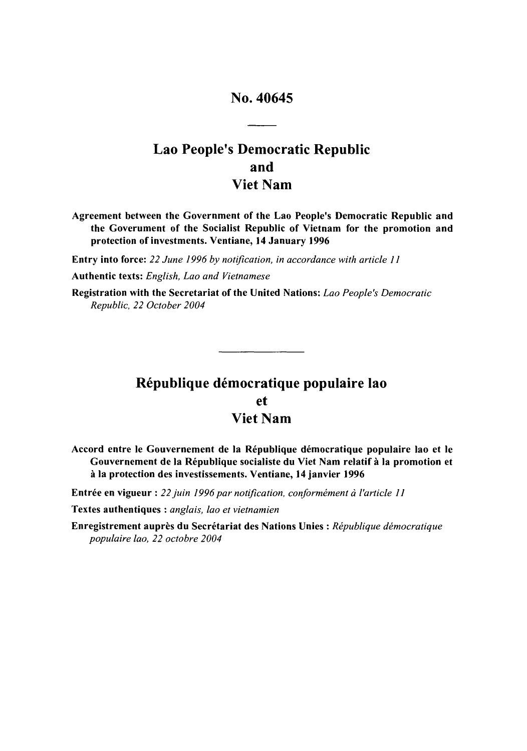## No. 40645

# Lao People's Democratic Republic and Viet Nam

Agreement between the Government of the Lao People's Democratic Republic and the Goverument of the Socialist Republic of Vietnam for the promotion and protection of investments. Ventiane, 14 January **1996**

Entry into force: *22 June 1996 by notification, in accordance with article ]]*

Authentic texts: *English, Lao and Vietnamese*

Registration with the Secretariat of the United Nations: *Lao People's Democratic Republic, 22 October 2004*

# République démocratique populaire lao et Viet Nam

Accord entre le Gouvernement de la République démocratique populaire lao et le Gouvernement de la République socialiste du Viet Nam relatif à la promotion et **A la** protection des investissements. Ventiane, 14 janvier **1996**

Entrée en vigueur : 22 juin 1996 par notification, conformément à l'article 11

Textes authentiques : *anglais, lao et vietnamien*

Enregistrement auprès du Secrétariat des Nations Unies : République démocratique *populaire lao, 22 octobre 2004*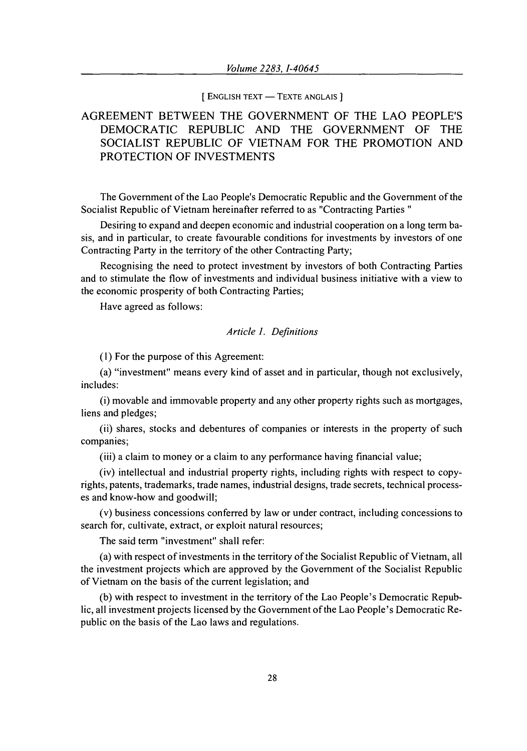#### **[ENGLISH TEXT - TEXTE ANGLAIS**]

### AGREEMENT BETWEEN THE GOVERNMENT OF THE LAO PEOPLE'S DEMOCRATIC REPUBLIC AND THE GOVERNMENT OF THE SOCIALIST REPUBLIC OF VIETNAM FOR THE PROMOTION AND PROTECTION OF INVESTMENTS

The Government of the Lao People's Democratic Republic and the Government of the Socialist Republic of Vietnam hereinafter referred to as "Contracting Parties **"**

Desiring to expand and deepen economic and industrial cooperation on a long term basis, and in particular, to create favourable conditions for investments by investors of one Contracting Party in the territory of the other Contracting Party;

Recognising the need to protect investment by investors of both Contracting Parties and to stimulate the flow of investments and individual business initiative with a view to the economic prosperity of both Contracting Parties;

Have agreed as follows:

### *Article 1. Definitions*

(1) For the purpose of this Agreement:

(a) "investment" means every kind of asset and in particular, though not exclusively, includes:

(i) movable and immovable property and any other property rights such as mortgages, liens and pledges;

(ii) shares, stocks and debentures of companies or interests in the property of such companies;

(iii) a claim to money or a claim to any performance having financial value;

(iv) intellectual and industrial property rights, including rights with respect to copyrights, patents, trademarks, trade names, industrial designs, trade secrets, technical processes and know-how and goodwill;

(v) business concessions conferred by law or under contract, including concessions to search for, cultivate, extract, or exploit natural resources;

The said term "investment" shall refer:

(a) with respect of investments in the territory of the Socialist Republic of Vietnam, all the investment projects which are approved by the Government of the Socialist Republic of Vietnam on the basis of the current legislation; and

(b) with respect to investment in the territory of the Lao People's Democratic Republic, all investment projects licensed by the Government of the Lao People's Democratic Republic on the basis of the Lao laws and regulations.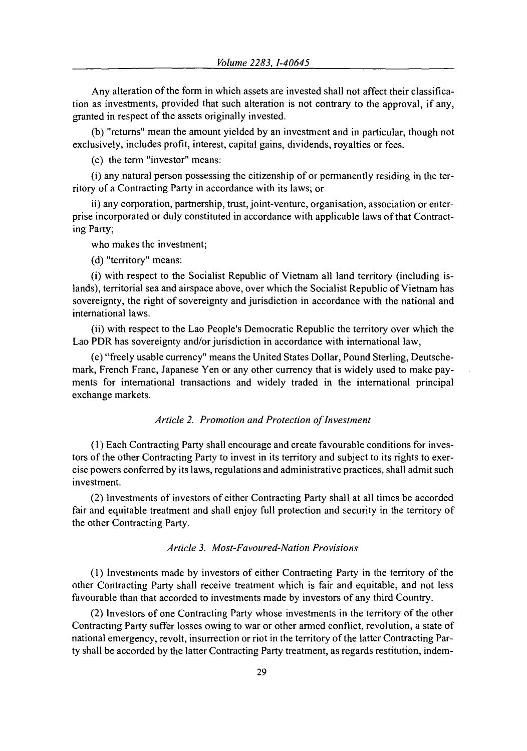Any alteration of the form in which assets are invested shall not affect their classification as investments, provided that such alteration is not contrary to the approval, if any, granted in respect of the assets originally invested.

(b) "returns" mean the amount yielded by an investment and in particular, though not exclusively, includes profit, interest, capital gains, dividends, royalties or fees.

(c) the term "investor" means:

(i) any natural person possessing the citizenship of or permanently residing in the territory of a Contracting Party in accordance with its laws; or

ii) any corporation, partnership, trust, joint-venture, organisation, association or enterprise incorporated or duly constituted in accordance with applicable laws of that Contracting Party;

who makes the investment;

(d) "territory" means:

(i) with respect to the Socialist Republic of Vietnam all land territory (including islands), territorial sea and airspace above, over which the Socialist Republic of Vietnam has sovereignty, the right of sovereignty and jurisdiction in accordance with the national and international laws.

(ii) with respect to the Lao People's Democratic Republic the territory over which the Lao PDR has sovereignty and/or jurisdiction in accordance with international law,

(e) "freely usable currency" means the United States Dollar, Pound Sterling, Deutschemark, French Franc, Japanese Yen or any other currency that is widely used to make payments for international transactions and widely traded in the international principal exchange markets.

### *Article 2. Promotion and Protection of Investment*

**(1)** Each Contracting Party shall encourage and create favourable conditions for investors of the other Contracting Party to invest in its territory and subject to its rights to exercise powers conferred by its laws, regulations and administrative practices, shall admit such investment.

(2) Investments of investors of either Contracting Party shall at all times be accorded fair and equitable treatment and shall enjoy full protection and security in the territory of the other Contracting Party.

#### *Article 3. Most-Favoured-Nation Provisions*

(1) Investments made by investors of either Contracting Party in the territory of the other Contracting Party shall receive treatment which is fair and equitable, and not less favourable than that accorded to investments made by investors of any third Country.

(2) Investors of one Contracting Party whose investments in the territory of the other Contracting Party suffer losses owing to war or other armed conflict, revolution, a state of national emergency, revolt, insurrection or riot in the territory of the latter Contracting Party shall be accorded by the latter Contracting Party treatment, as regards restitution, indem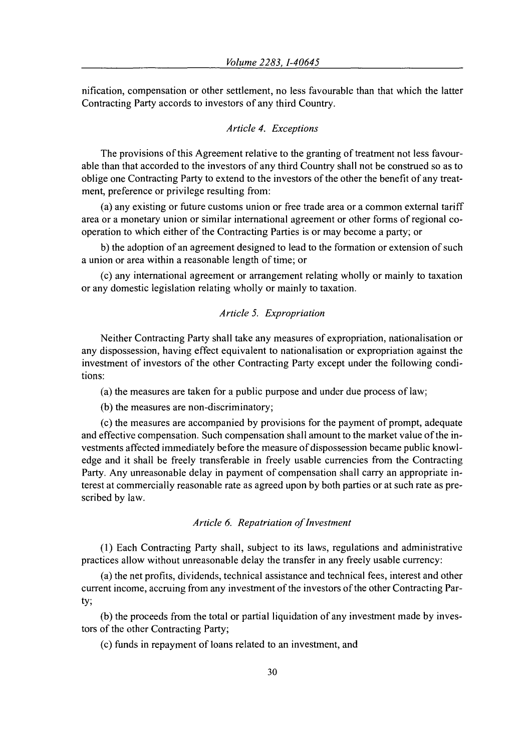nification, compensation or other settlement, no less favourable than that which the latter Contracting Party accords to investors of any third Country.

### *Article 4. Exceptions*

The provisions of this Agreement relative to the granting of treatment not less favourable than that accorded to the investors of any third Country shall not be construed so as to oblige one Contracting Party to extend to the investors of the other the benefit of any treatment, preference or privilege resulting from:

(a) any existing or future customs union or free trade area or a common external tariff area or a monetary union or similar international agreement or other forms of regional cooperation to which either of the Contracting Parties is or may become a party; or

b) the adoption of an agreement designed to lead to the formation or extension of such a union or area within a reasonable length of time; or

(c) any international agreement or arrangement relating wholly or mainly to taxation or any domestic legislation relating wholly or mainly to taxation.

#### *Article 5. Expropriation*

Neither Contracting Party shall take any measures of expropriation, nationalisation or any dispossession, having effect equivalent to nationalisation or expropriation against the investment of investors of the other Contracting Party except under the following conditions:

(a) the measures are taken for a public purpose and under due process of law:

(b) the measures are non-discriminatory;

(c) the measures are accompanied by provisions for the payment of prompt, adequate and effective compensation. Such compensation shall amount to the market value of the investments affected immediately before the measure of dispossession became public knowledge and it shall be freely transferable in freely usable currencies from the Contracting Party. Any unreasonable delay in payment of compensation shall carry an appropriate interest at commercially reasonable rate as agreed upon by both parties or at such rate as prescribed by law.

#### *Article 6. Repatriation of Investment*

(1) Each Contracting Party shall, subject to its laws, regulations and administrative practices allow without unreasonable delay the transfer in any freely usable currency:

(a) the net profits, dividends, technical assistance and technical fees, interest and other current income, accruing from any investment of the investors of the other Contracting Party;

(b) the proceeds from the total or partial liquidation of any investment made by investors of the other Contracting Party;

(c) funds in repayment of loans related to an investment, and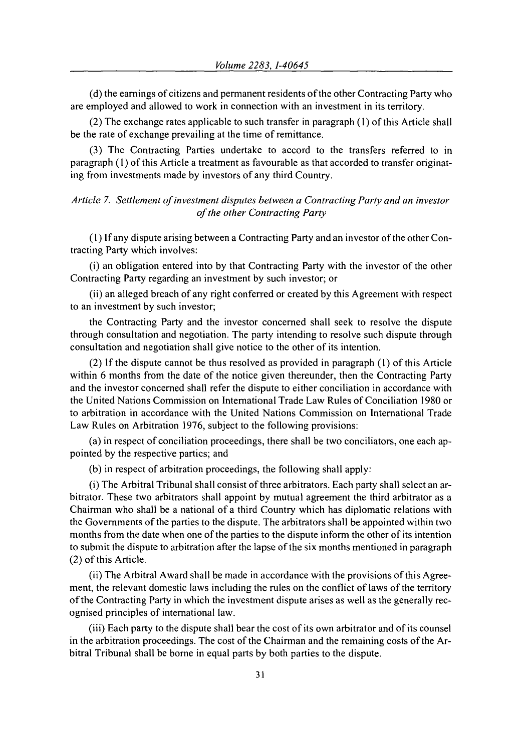(d) the earnings of citizens and permanent residents of the other Contracting Party who are employed and allowed to work in connection with an investment in its territory.

(2) The exchange rates applicable to such transfer in paragraph (1) of this Article shall be the rate of exchange prevailing at the time of remittance.

(3) The Contracting Parties undertake to accord to the transfers referred to in paragraph (1) of this Article a treatment as favourable as that accorded to transfer originating from investments made by investors of any third Country.

*Article 7. Settlement of investment disputes between a Contracting Party and an investor of the other Contracting Party*

(1) If any dispute arising between a Contracting Party and an investor of the other Contracting Party which involves:

(i) an obligation entered into by that Contracting Party with the investor of the other Contracting Party regarding an investment by such investor; or

(ii) an alleged breach of any right conferred or created by this Agreement with respect to an investment by such investor;

the Contracting Party and the investor concerned shall seek to resolve the dispute through consultation and negotiation. The party intending to resolve such dispute through consultation and negotiation shall give notice to the other of its intention.

(2) If the dispute cannot be thus resolved as provided in paragraph (1) of this Article within 6 months from the date of the notice given thereunder, then the Contracting Party and the investor concerned shall refer the dispute to either conciliation in accordance with the United Nations Commission on International Trade Law Rules of Conciliation 1980 or to arbitration in accordance with the United Nations Commission on International Trade Law Rules on Arbitration 1976, subject to the following provisions:

(a) in respect of conciliation proceedings, there shall be two conciliators, one each appointed by the respective parties; and

(b) in respect of arbitration proceedings, the following shall apply:

(i) The Arbitral Tribunal shall consist of three arbitrators. Each party shall select an arbitrator. These two arbitrators shall appoint by mutual agreement the third arbitrator as a Chairman who shall be a national of a third Country which has diplomatic relations with the Governments of the parties to the dispute. The arbitrators shall be appointed within two months from the date when one of the parties to the dispute inform the other of its intention to submit the dispute to arbitration after the lapse of the six months mentioned in paragraph (2) of this Article.

(ii) The Arbitral Award shall be made in accordance with the provisions of this Agreement, the relevant domestic laws including the rules on the conflict of laws of the territory of the Contracting Party in which the investment dispute arises as well as the generally recognised principles of international law.

(iii) Each party to the dispute shall bear the cost of its own arbitrator and of its counsel in the arbitration proceedings. The cost of the Chairman and the remaining costs of the Arbitral Tribunal shall be borne in equal parts by both parties to the dispute.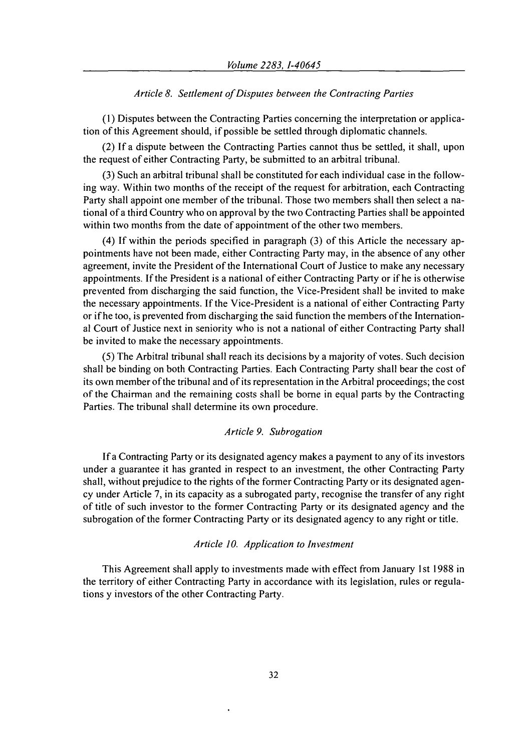#### *Article 8. Settlement of Disputes between the Contracting Parties*

(1) Disputes between the Contracting Parties concerning the interpretation or application of this Agreement should, if possible be settled through diplomatic channels.

(2) If a dispute between the Contracting Parties cannot thus be settled, it shall, upon the request of either Contracting Party, be submitted to an arbitral tribunal.

(3) Such an arbitral tribunal shall be constituted for each individual case in the following way. Within two months of the receipt of the request for arbitration, each Contracting Party shall appoint one member of the tribunal. Those two members shall then select a national of a third Country who on approval by the two Contracting Parties shall be appointed within two months from the date of appointment of the other two members.

(4) If within the periods specified in paragraph (3) of this Article the necessary appointments have not been made, either Contracting Party may, in the absence of any other agreement, invite the President of the International Court of Justice to make any necessary appointments. If the President is a national of either Contracting Party or if he is otherwise prevented from discharging the said function, the Vice-President shall be invited to make the necessary appointments. If the Vice-President is a national of either Contracting Party or if he too, is prevented from discharging the said function the members of the International Court of Justice next in seniority who is not a national of either Contracting Party shall be invited to make the necessary appointments.

(5) The Arbitral tribunal shall reach its decisions by a majority of votes. Such decision shall be binding on both Contracting Parties. Each Contracting Party shall bear the cost of its own member of the tribunal and of its representation in the Arbitral proceedings; the cost of the Chairman and the remaining costs shall be borne in equal parts by the Contracting Parties. The tribunal shall determine its own procedure.

### *Article 9. Subrogation*

If a Contracting Party or its designated agency makes a payment to any of its investors under a guarantee it has granted in respect to an investment, the other Contracting Party shall, without prejudice to the rights of the former Contracting Party or its designated agency under Article 7, in its capacity as a subrogated party, recognise the transfer of any right of title of such investor to the former Contracting Party or its designated agency and the subrogation of the former Contracting Party or its designated agency to any right or title.

#### *Article 10. Application to Investment*

This Agreement shall apply to investments made with effect from January 1st 1988 in the territory of either Contracting Party in accordance with its legislation, rules or regulations y investors of the other Contracting Party.